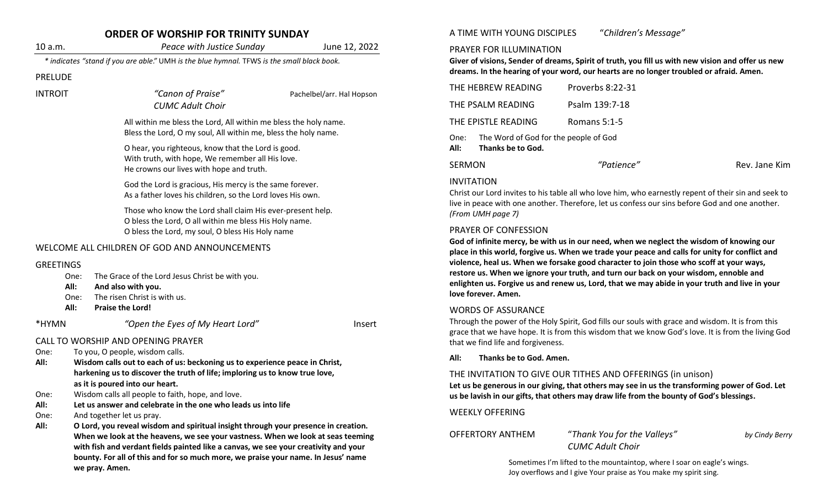|                  | <b>ORDER OF WORSHIP FOR TRINITY SUNDAY</b>                                                                                                                                                                                                                                                                                                                                                                                                                                                                                                                                                     |                           | A TIME WITH YOUNG DISCIPLES                                                                                                                                                                                                                                                                                                                                                                                                                                                                                                          | "Children's Message"                                                                              |                |  |
|------------------|------------------------------------------------------------------------------------------------------------------------------------------------------------------------------------------------------------------------------------------------------------------------------------------------------------------------------------------------------------------------------------------------------------------------------------------------------------------------------------------------------------------------------------------------------------------------------------------------|---------------------------|--------------------------------------------------------------------------------------------------------------------------------------------------------------------------------------------------------------------------------------------------------------------------------------------------------------------------------------------------------------------------------------------------------------------------------------------------------------------------------------------------------------------------------------|---------------------------------------------------------------------------------------------------|----------------|--|
| 10 a.m.          | Peace with Justice Sunday                                                                                                                                                                                                                                                                                                                                                                                                                                                                                                                                                                      | June 12, 2022             | PRAYER FOR ILLUMINATION                                                                                                                                                                                                                                                                                                                                                                                                                                                                                                              |                                                                                                   |                |  |
|                  | * indicates "stand if you are able." UMH is the blue hymnal. TFWS is the small black book.                                                                                                                                                                                                                                                                                                                                                                                                                                                                                                     |                           |                                                                                                                                                                                                                                                                                                                                                                                                                                                                                                                                      | Giver of visions, Sender of dreams, Spirit of truth, you fill us with new vision and offer us new |                |  |
| <b>PRELUDE</b>   |                                                                                                                                                                                                                                                                                                                                                                                                                                                                                                                                                                                                |                           |                                                                                                                                                                                                                                                                                                                                                                                                                                                                                                                                      | dreams. In the hearing of your word, our hearts are no longer troubled or afraid. Amen.           |                |  |
| <b>INTROIT</b>   | "Canon of Praise"                                                                                                                                                                                                                                                                                                                                                                                                                                                                                                                                                                              | Pachelbel/arr. Hal Hopson | THE HEBREW READING                                                                                                                                                                                                                                                                                                                                                                                                                                                                                                                   | Proverbs 8:22-31                                                                                  |                |  |
|                  | <b>CUMC Adult Choir</b>                                                                                                                                                                                                                                                                                                                                                                                                                                                                                                                                                                        |                           | THE PSALM READING                                                                                                                                                                                                                                                                                                                                                                                                                                                                                                                    | Psalm 139:7-18                                                                                    |                |  |
|                  | All within me bless the Lord, All within me bless the holy name.<br>Bless the Lord, O my soul, All within me, bless the holy name.<br>O hear, you righteous, know that the Lord is good.<br>With truth, with hope, We remember all His love.<br>He crowns our lives with hope and truth.<br>God the Lord is gracious, His mercy is the same forever.<br>As a father loves his children, so the Lord loves His own.<br>Those who know the Lord shall claim His ever-present help.<br>O bless the Lord, O all within me bless His Holy name.<br>O bless the Lord, my soul, O bless His Holy name |                           | THE EPISTLE READING                                                                                                                                                                                                                                                                                                                                                                                                                                                                                                                  | Romans 5:1-5                                                                                      |                |  |
|                  |                                                                                                                                                                                                                                                                                                                                                                                                                                                                                                                                                                                                |                           | The Word of God for the people of God<br>One:<br>Thanks be to God.<br>All:                                                                                                                                                                                                                                                                                                                                                                                                                                                           |                                                                                                   |                |  |
|                  |                                                                                                                                                                                                                                                                                                                                                                                                                                                                                                                                                                                                |                           |                                                                                                                                                                                                                                                                                                                                                                                                                                                                                                                                      |                                                                                                   |                |  |
|                  |                                                                                                                                                                                                                                                                                                                                                                                                                                                                                                                                                                                                |                           | <b>SERMON</b>                                                                                                                                                                                                                                                                                                                                                                                                                                                                                                                        | "Patience"                                                                                        | Rev. Jane Kim  |  |
|                  |                                                                                                                                                                                                                                                                                                                                                                                                                                                                                                                                                                                                |                           | <b>INVITATION</b><br>Christ our Lord invites to his table all who love him, who earnestly repent of their sin and seek to<br>live in peace with one another. Therefore, let us confess our sins before God and one another.<br>(From UMH page 7)                                                                                                                                                                                                                                                                                     |                                                                                                   |                |  |
|                  |                                                                                                                                                                                                                                                                                                                                                                                                                                                                                                                                                                                                |                           |                                                                                                                                                                                                                                                                                                                                                                                                                                                                                                                                      |                                                                                                   |                |  |
|                  |                                                                                                                                                                                                                                                                                                                                                                                                                                                                                                                                                                                                |                           |                                                                                                                                                                                                                                                                                                                                                                                                                                                                                                                                      |                                                                                                   |                |  |
|                  |                                                                                                                                                                                                                                                                                                                                                                                                                                                                                                                                                                                                |                           | <b>PRAYER OF CONFESSION</b><br>God of infinite mercy, be with us in our need, when we neglect the wisdom of knowing our<br>place in this world, forgive us. When we trade your peace and calls for unity for conflict and<br>violence, heal us. When we forsake good character to join those who scoff at your ways,<br>restore us. When we ignore your truth, and turn our back on your wisdom, ennoble and<br>enlighten us. Forgive us and renew us, Lord, that we may abide in your truth and live in your<br>love forever. Amen. |                                                                                                   |                |  |
|                  |                                                                                                                                                                                                                                                                                                                                                                                                                                                                                                                                                                                                |                           |                                                                                                                                                                                                                                                                                                                                                                                                                                                                                                                                      |                                                                                                   |                |  |
|                  | WELCOME ALL CHILDREN OF GOD AND ANNOUNCEMENTS                                                                                                                                                                                                                                                                                                                                                                                                                                                                                                                                                  |                           |                                                                                                                                                                                                                                                                                                                                                                                                                                                                                                                                      |                                                                                                   |                |  |
| <b>GREETINGS</b> |                                                                                                                                                                                                                                                                                                                                                                                                                                                                                                                                                                                                |                           |                                                                                                                                                                                                                                                                                                                                                                                                                                                                                                                                      |                                                                                                   |                |  |
| One:             | The Grace of the Lord Jesus Christ be with you.                                                                                                                                                                                                                                                                                                                                                                                                                                                                                                                                                |                           |                                                                                                                                                                                                                                                                                                                                                                                                                                                                                                                                      |                                                                                                   |                |  |
| All:<br>One:     | And also with you.<br>The risen Christ is with us.                                                                                                                                                                                                                                                                                                                                                                                                                                                                                                                                             |                           |                                                                                                                                                                                                                                                                                                                                                                                                                                                                                                                                      |                                                                                                   |                |  |
| All:             | Praise the Lord!                                                                                                                                                                                                                                                                                                                                                                                                                                                                                                                                                                               |                           | <b>WORDS OF ASSURANCE</b>                                                                                                                                                                                                                                                                                                                                                                                                                                                                                                            |                                                                                                   |                |  |
| *HYMN            | "Open the Eyes of My Heart Lord"                                                                                                                                                                                                                                                                                                                                                                                                                                                                                                                                                               | Insert                    | Through the power of the Holy Spirit, God fills our souls with grace and wisdom. It is from this                                                                                                                                                                                                                                                                                                                                                                                                                                     |                                                                                                   |                |  |
|                  | CALL TO WORSHIP AND OPENING PRAYER<br>To you, O people, wisdom calls.                                                                                                                                                                                                                                                                                                                                                                                                                                                                                                                          |                           | grace that we have hope. It is from this wisdom that we know God's love. It is from the living God<br>that we find life and forgiveness.                                                                                                                                                                                                                                                                                                                                                                                             |                                                                                                   |                |  |
| One:             |                                                                                                                                                                                                                                                                                                                                                                                                                                                                                                                                                                                                |                           |                                                                                                                                                                                                                                                                                                                                                                                                                                                                                                                                      |                                                                                                   |                |  |
| All:             | Wisdom calls out to each of us: beckoning us to experience peace in Christ,<br>harkening us to discover the truth of life; imploring us to know true love,<br>as it is poured into our heart.<br>Wisdom calls all people to faith, hope, and love.<br>One:<br>Let us answer and celebrate in the one who leads us into life<br>And together let us pray.                                                                                                                                                                                                                                       |                           | Thanks be to God. Amen.<br>All:                                                                                                                                                                                                                                                                                                                                                                                                                                                                                                      |                                                                                                   |                |  |
|                  |                                                                                                                                                                                                                                                                                                                                                                                                                                                                                                                                                                                                |                           | THE INVITATION TO GIVE OUR TITHES AND OFFERINGS (in unison)<br>Let us be generous in our giving, that others may see in us the transforming power of God. Let<br>us be lavish in our gifts, that others may draw life from the bounty of God's blessings.                                                                                                                                                                                                                                                                            |                                                                                                   |                |  |
|                  |                                                                                                                                                                                                                                                                                                                                                                                                                                                                                                                                                                                                |                           |                                                                                                                                                                                                                                                                                                                                                                                                                                                                                                                                      |                                                                                                   |                |  |
| All:             |                                                                                                                                                                                                                                                                                                                                                                                                                                                                                                                                                                                                |                           |                                                                                                                                                                                                                                                                                                                                                                                                                                                                                                                                      |                                                                                                   |                |  |
| One:             |                                                                                                                                                                                                                                                                                                                                                                                                                                                                                                                                                                                                |                           | <b>WEEKLY OFFERING</b>                                                                                                                                                                                                                                                                                                                                                                                                                                                                                                               |                                                                                                   |                |  |
| All:             | O Lord, you reveal wisdom and spiritual insight through your presence in creation.<br>When we look at the heavens, we see your vastness. When we look at seas teeming<br>with fish and verdant fields painted like a canvas, we see your creativity and your<br>bounty. For all of this and for so much more, we praise your name. In Jesus' name<br>we pray. Amen.                                                                                                                                                                                                                            |                           | <b>OFFERTORY ANTHEM</b>                                                                                                                                                                                                                                                                                                                                                                                                                                                                                                              | "Thank You for the Valleys"                                                                       |                |  |
|                  |                                                                                                                                                                                                                                                                                                                                                                                                                                                                                                                                                                                                |                           |                                                                                                                                                                                                                                                                                                                                                                                                                                                                                                                                      | <b>CUMC Adult Choir</b>                                                                           | by Cindy Berry |  |
|                  |                                                                                                                                                                                                                                                                                                                                                                                                                                                                                                                                                                                                |                           | Sometimes I'm lifted to the mountaintop, where I soar on eagle's wings.                                                                                                                                                                                                                                                                                                                                                                                                                                                              |                                                                                                   |                |  |
|                  |                                                                                                                                                                                                                                                                                                                                                                                                                                                                                                                                                                                                |                           | loy overflows and Lgive Your praise as You make my spirit sing                                                                                                                                                                                                                                                                                                                                                                                                                                                                       |                                                                                                   |                |  |

Joy overflows and I give Your praise as You make my spirit sing.